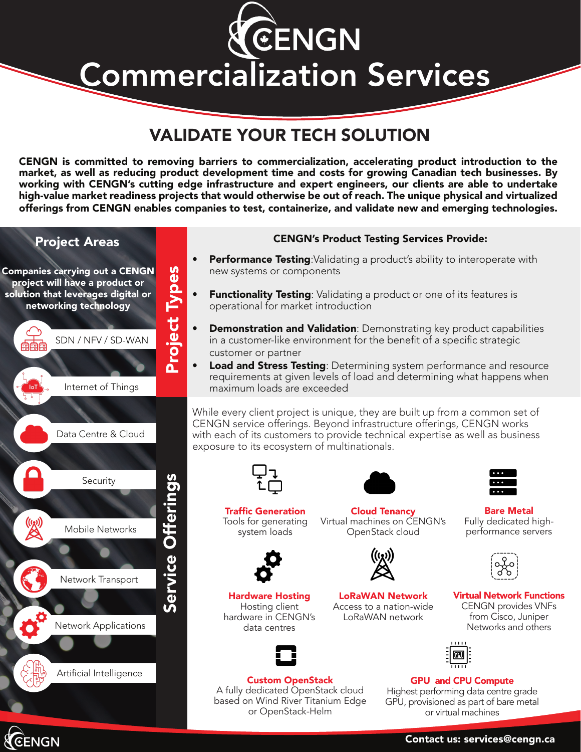CENGN Commercialization Services

# VALIDATE YOUR TECH SOLUTION

CENGN is committed to removing barriers to commercialization, accelerating product introduction to the market, as well as reducing product development time and costs for growing Canadian tech businesses. By working with CENGN's cutting edge infrastructure and expert engineers, our clients are able to undertake high-value market readiness projects that would otherwise be out of reach. The unique physical and virtualized offerings from CENGN enables companies to test, containerize, and validate new and emerging technologies.

# Project Areas Companies carrying out a CENGN project will have a product or solution that leverages digital or networking technology SDN / NFV / SD-WAN



Project Types

Project Types



CENGN

### CENGN's Product Testing Services Provide:

- **Performance Testing:**Validating a product's ability to interoperate with new systems or components
- **Functionality Testing:** Validating a product or one of its features is operational for market introduction
- **Demonstration and Validation**: Demonstrating key product capabilities in a customer-like environment for the benefit of a specific strategic customer or partner
- Load and Stress Testing: Determining system performance and resource requirements at given levels of load and determining what happens when maximum loads are exceeded

While every client project is unique, they are built up from a common set of CENGN service offerings. Beyond infrastructure offerings, CENGN works with each of its customers to provide technical expertise as well as business exposure to its ecosystem of multinationals.



Traffic Generation Tools for generating system loads

Hardware Hosting Hosting client hardware in CENGN's data centres



Cloud Tenancy Virtual machines on CENGN's OpenStack cloud

> LoRaWAN Network Access to a nation-wide LoRaWAN network



Bare Metal Fully dedicated highperformance servers



Virtual Network Functions CENGN provides VNFs from Cisco, Juniper Networks and others



#### GPU and CPU Compute Highest performing data centre grade GPU, provisioned as part of bare metal or virtual machines

Contact us: services@cengn.ca

Custom OpenStack A fully dedicated OpenStack cloud based on Wind River Titanium Edge or OpenStack-Helm